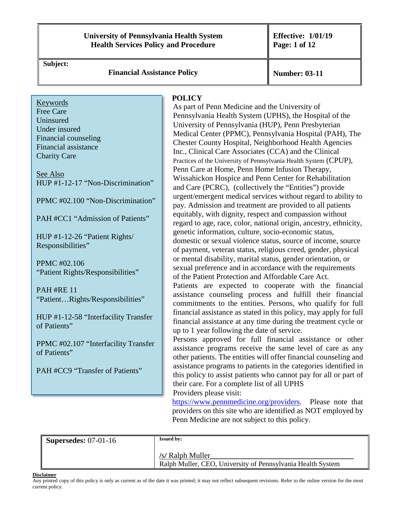#### **University of Pennsylvania Health System Health Services Policy and Procedure**

**Effective: 1/01/19 Page: 1 of 12** 

**Subject:** 

**Financial Assistance Policy**  $\parallel$  **Number: 03-11** 

Keywords Free Care **Uninsured** Under insured Financial counseling Financial assistance Charity Care

See Also [HUP #1-12-17 "Non-Discrimination"](http://uphsxnet.uphs.upenn.edu/hupadmpl/1_12_17.PDF)

[PPMC #02.100 "Non-Discrimination"](http://uphsxnet.uphs.upenn.edu/pmcadmpl/pdf_admiss/02.100_Non_discrimination_04.14.14.pdf)

[PAH #CC1 "Admission of Patients"](http://uphsxnet.uphs.upenn.edu/pahhome/pahpolicies/CC1.pdf) 

[HUP #1-12-26 "Patient Rights/](http://uphsxnet.uphs.upenn.edu/hupadmpl/1_12_26..pdf)  Responsibilities"

PPMC #02.106 ["Patient Rights/Responsibilities"](http://uphsxnet.uphs.upenn.edu/pmcadmpl/pdf_admiss/02.106_Patients_Bill_of_Rights_and_Responsibilities_final_9.19.17.pdf)

PAH #RE 11 ["Patient…Rights/Responsibilities"](http://uphsxnet.uphs.upenn.edu/pahhome/pahpolicies/RE11.pdf)

[HUP #1-12-58 "Interfacility Transfer](http://uphsxnet.uphs.upenn.edu/hupadmpl/1_12_58bb.pdf)  of Patients"

[PPMC #02.107 "Interfacility Transfer](http://uphsxnet.uphs.upenn.edu/pmcadmpl/pdf_admiss/02.107_%20Evaluation_Treatment_(EMTALA)_04.14.14_CLEAN.pdf)  of Patients"

[PAH #CC9 "Transfer of Patients"](http://uphsxnet.uphs.upenn.edu/pahhome/pahpolicies/CC9.pdf)

#### **POLICY**

As part of Penn Medicine and the University of Pennsylvania Health System (UPHS), the Hospital of the University of Pennsylvania (HUP), Penn Presbyterian Medical Center (PPMC), Pennsylvania Hospital (PAH), The Chester County Hospital, Neighborhood Health Agencies Inc., Clinical Care Associates (CCA) and the Clinical Practices of the University of Pennsylvania Health System (CPUP), Penn Care at Home, Penn Home Infusion Therapy, Wissahickon Hospice and Penn Center for Rehabilitation and Care (PCRC), (collectively the "Entities") provide urgent/emergent medical services without regard to ability to pay. Admission and treatment are provided to all patients equitably, with dignity, respect and compassion without regard to age, race, color, national origin, ancestry, ethnicity, genetic information, culture, socio-economic status, domestic or sexual violence status, source of income, source of payment, veteran status, religious creed, gender, physical or mental disability, marital status, gender orientation, or sexual preference and in accordance with the requirements of the Patient Protection and Affordable Care Act. Patients are expected to cooperate with the financial assistance counseling process and fulfill their financial commitments to the entities. Persons, who qualify for full financial assistance as stated in this policy, may apply for full financial assistance at any time during the treatment cycle or up to 1 year following the date of service.

Persons approved for full financial assistance or other assistance programs receive the same level of care as any other patients. The entities will offer financial counseling and assistance programs to patients in the categories identified in this policy to assist patients who cannot pay for all or part of their care. For a complete list of all UPHS Providers please visit:

[https://www.pennmedicine.org/providers.](https://www.pennmedicine.org/providers) Please note that providers on this site who are identified as NOT employed by Penn Medicine are not subject to this policy.

| $\parallel$ Supersedes: 07-01-16 | <b>Issued by:</b>                                                               |
|----------------------------------|---------------------------------------------------------------------------------|
|                                  | /s/ Ralph Muller<br>Ralph Muller, CEO, University of Pennsylvania Health System |

#### **Disclaimer**

Any printed copy of this policy is only as current as of the date it was printed; it may not reflect subsequent revisions. Refer to the online version for the most current policy.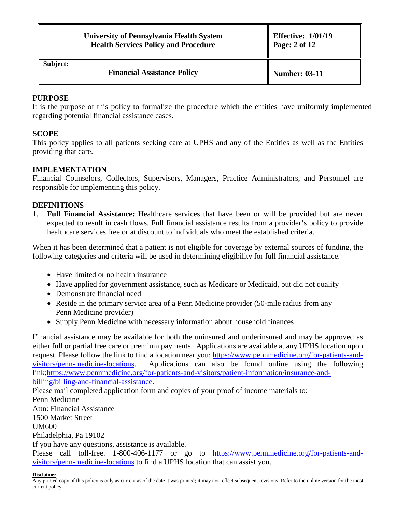| University of Pennsylvania Health System    |  |
|---------------------------------------------|--|
| <b>Health Services Policy and Procedure</b> |  |

**Subject:** 

**Financial Assistance Policy**  $\parallel$  **Number:** 03-11

#### **PURPOSE**

It is the purpose of this policy to formalize the procedure which the entities have uniformly implemented regarding potential financial assistance cases.

### **SCOPE**

This policy applies to all patients seeking care at UPHS and any of the Entities as well as the Entities providing that care.

### **IMPLEMENTATION**

Financial Counselors, Collectors, Supervisors, Managers, Practice Administrators, and Personnel are responsible for implementing this policy.

#### **DEFINITIONS**

1. **Full Financial Assistance:** Healthcare services that have been or will be provided but are never expected to result in cash flows. Full financial assistance results from a provider's policy to provide healthcare services free or at discount to individuals who meet the established criteria.

When it has been determined that a patient is not eligible for coverage by external sources of funding, the following categories and criteria will be used in determining eligibility for full financial assistance.

- Have limited or no health insurance
- Have applied for government assistance, such as Medicare or Medicaid, but did not qualify
- Demonstrate financial need
- Reside in the primary service area of a Penn Medicine provider (50-mile radius from any Penn Medicine provider)
- Supply Penn Medicine with necessary information about household finances

Financial assistance may be available for both the uninsured and underinsured and may be approved as either full or partial free care or premium payments. Applications are available at any UPHS location upon request. Please follow the link to find a location near you: [https://www.pennmedicine.org/for-patients-and](https://www.pennmedicine.org/for-patients-and-visitors/penn-medicine-locations)[visitors/penn-medicine-locations.](https://www.pennmedicine.org/for-patients-and-visitors/penn-medicine-locations) Applications can also be found online using the following link[:https://www.pennmedicine.org/for-patients-and-visitors/patient-information/insurance-and](https://www.pennmedicine.org/for-patients-and-visitors/patient-information/insurance-and-billing/billing-and-financial-assistance)[billing/billing-and-financial-assistance.](https://www.pennmedicine.org/for-patients-and-visitors/patient-information/insurance-and-billing/billing-and-financial-assistance)

Please mail completed application form and copies of your proof of income materials to: Penn Medicine Attn: Financial Assistance 1500 Market Street UM600 Philadelphia, Pa 19102 If you have any questions, assistance is available.

Please call toll-free. 1-800-406-1177 or go to [https://www.pennmedicine.org/for-patients-and](https://www.pennmedicine.org/for-patients-and-visitors/penn-medicine-locations)[visitors/penn-medicine-locations](https://www.pennmedicine.org/for-patients-and-visitors/penn-medicine-locations) to find a UPHS location that can assist you.

#### **Disclaimer**

Any printed copy of this policy is only as current as of the date it was printed; it may not reflect subsequent revisions. Refer to the online version for the most current policy.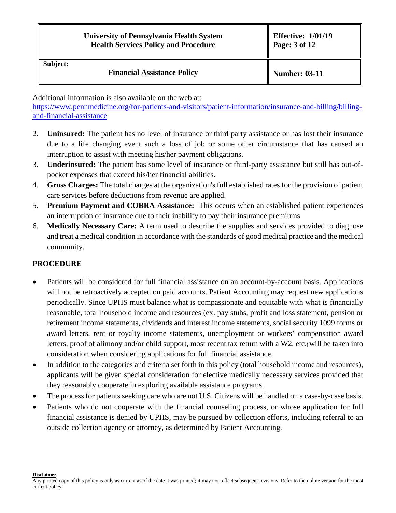### **University of Pennsylvania Health System Health Services Policy and Procedure**

#### **Subject:**

**Financial Assistance Policy**  $\parallel$  **Number:** 03-11

Additional information is also available on the web at:

[https://www.pennmedicine.org/for-patients-and-visitors/patient-information/insurance-and-billing/billing](https://www.pennmedicine.org/for-patients-and-visitors/patient-information/insurance-and-billing/billing-and-financial-assistance)[and-financial-assistance](https://www.pennmedicine.org/for-patients-and-visitors/patient-information/insurance-and-billing/billing-and-financial-assistance)

- 2. **Uninsured:** The patient has no level of insurance or third party assistance or has lost their insurance due to a life changing event such a loss of job or some other circumstance that has caused an interruption to assist with meeting his/her payment obligations.
- 3. **Underinsured:** The patient has some level of insurance or third-party assistance but still has out-ofpocket expenses that exceed his/her financial abilities.
- 4. **Gross Charges:** The total charges at the organization's full established rates for the provision of patient care services before deductions from revenue are applied.
- 5. **Premium Payment and COBRA Assistance:** This occurs when an established patient experiences an interruption of insurance due to their inability to pay their insurance premiums
- 6. **Medically Necessary Care:** A term used to describe the supplies and services provided to diagnose and treat a medical condition in accordance with the standards of good medical practice and the medical community.

## **PROCEDURE**

- Patients will be considered for full financial assistance on an account-by-account basis. Applications will not be retroactively accepted on paid accounts. Patient Accounting may request new applications periodically. Since UPHS must balance what is compassionate and equitable with what is financially reasonable, total household income and resources (ex. pay stubs, profit and loss statement, pension or retirement income statements, dividends and interest income statements, social security 1099 forms or award letters, rent or royalty income statements, unemployment or workers' compensation award letters, proof of alimony and/or child support, most recent tax return with a W2, etc.) will be taken into consideration when considering applications for full financial assistance.
- In addition to the categories and criteria set forth in this policy (total household income and resources), applicants will be given special consideration for elective medically necessary services provided that they reasonably cooperate in exploring available assistance programs.
- The process for patients seeking care who are not U.S. Citizens will be handled on a case-by-case basis.
- Patients who do not cooperate with the financial counseling process, or whose application for full financial assistance is denied by UPHS, may be pursued by collection efforts, including referral to an outside collection agency or attorney, as determined by Patient Accounting.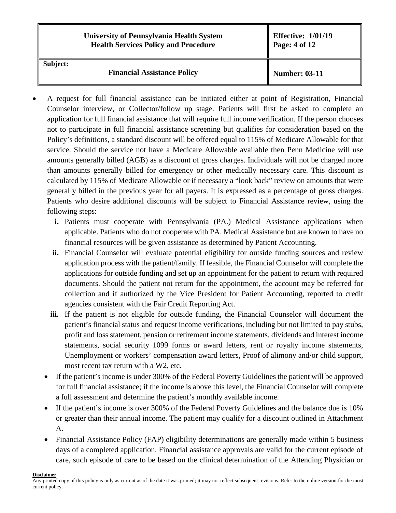|          | <b>University of Pennsylvania Health System</b><br><b>Health Services Policy and Procedure</b> | <b>Effective: 1/01/19</b><br>Page: 4 of 12 |
|----------|------------------------------------------------------------------------------------------------|--------------------------------------------|
| Subject: | <b>Financial Assistance Policy</b>                                                             | <b>Number: 03-11</b>                       |

- A request for full financial assistance can be initiated either at point of Registration, Financial Counselor interview, or Collector/follow up stage. Patients will first be asked to complete an application for full financial assistance that will require full income verification. If the person chooses not to participate in full financial assistance screening but qualifies for consideration based on the Policy's definitions, a standard discount will be offered equal to 115% of Medicare Allowable for that service. Should the service not have a Medicare Allowable available then Penn Medicine will use amounts generally billed (AGB) as a discount of gross charges. Individuals will not be charged more than amounts generally billed for emergency or other medically necessary care. This discount is calculated by 115% of Medicare Allowable or if necessary a "look back" review on amounts that were generally billed in the previous year for all payers. It is expressed as a percentage of gross charges. Patients who desire additional discounts will be subject to Financial Assistance review, using the following steps:
	- **i.** Patients must cooperate with Pennsylvania (PA.) Medical Assistance applications when applicable. Patients who do not cooperate with PA. Medical Assistance but are known to have no financial resources will be given assistance as determined by Patient Accounting.
	- **ii.** Financial Counselor will evaluate potential eligibility for outside funding sources and review application process with the patient/family. If feasible, the Financial Counselor will complete the applications for outside funding and set up an appointment for the patient to return with required documents. Should the patient not return for the appointment, the account may be referred for collection and if authorized by the Vice President for Patient Accounting, reported to credit agencies consistent with the Fair Credit Reporting Act.
	- **iii.** If the patient is not eligible for outside funding, the Financial Counselor will document the patient's financial status and request income verifications, including but not limited to pay stubs, profit and loss statement, pension or retirement income statements, dividends and interest income statements, social security 1099 forms or award letters, rent or royalty income statements, Unemployment or workers' compensation award letters, Proof of alimony and/or child support, most recent tax return with a W2, etc.
	- If the patient's income is under 300% of the Federal Poverty Guidelines the patient will be approved for full financial assistance; if the income is above this level, the Financial Counselor will complete a full assessment and determine the patient's monthly available income.
	- If the patient's income is over 300% of the Federal Poverty Guidelines and the balance due is 10% or greater than their annual income. The patient may qualify for a discount outlined in Attachment A.
	- Financial Assistance Policy (FAP) eligibility determinations are generally made within 5 business days of a completed application. Financial assistance approvals are valid for the current episode of care, such episode of care to be based on the clinical determination of the Attending Physician or

#### **Disclaimer**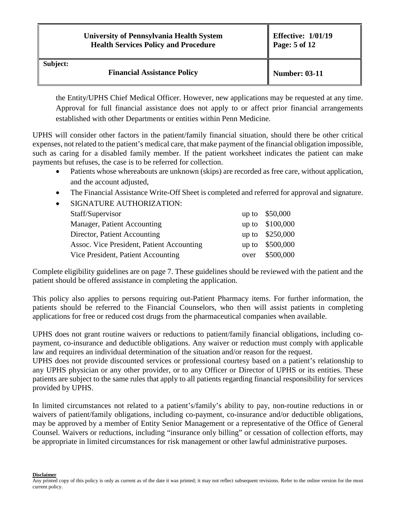|          | <b>University of Pennsylvania Health System</b><br><b>Health Services Policy and Procedure</b> | <b>Effective: 1/01/19</b><br>Page: 5 of 12 |
|----------|------------------------------------------------------------------------------------------------|--------------------------------------------|
| Subject: | <b>Financial Assistance Policy</b>                                                             | <b>Number: 03-11</b>                       |

the Entity/UPHS Chief Medical Officer. However, new applications may be requested at any time. Approval for full financial assistance does not apply to or affect prior financial arrangements established with other Departments or entities within Penn Medicine.

UPHS will consider other factors in the patient/family financial situation, should there be other critical expenses, not related to the patient's medical care, that make payment of the financial obligation impossible, such as caring for a disabled family member. If the patient worksheet indicates the patient can make payments but refuses, the case is to be referred for collection.

- Patients whose whereabouts are unknown (skips) are recorded as free care, without application, and the account adjusted,
- The Financial Assistance Write-Off Sheet is completed and referred for approval and signature.
- SIGNATURE AUTHORIZATION:

| Staff/Supervisor                          |      | $up to$ \$50,000 |
|-------------------------------------------|------|------------------|
| Manager, Patient Accounting               |      | up to \$100,000  |
| Director, Patient Accounting              |      | up to \$250,000  |
| Assoc. Vice President, Patient Accounting |      | up to \$500,000  |
| Vice President, Patient Accounting        | over | \$500,000        |

Complete eligibility guidelines are on page 7. These guidelines should be reviewed with the patient and the patient should be offered assistance in completing the application.

This policy also applies to persons requiring out-Patient Pharmacy items. For further information, the patients should be referred to the Financial Counselors, who then will assist patients in completing applications for free or reduced cost drugs from the pharmaceutical companies when available.

UPHS does not grant routine waivers or reductions to patient/family financial obligations, including copayment, co-insurance and deductible obligations. Any waiver or reduction must comply with applicable law and requires an individual determination of the situation and/or reason for the request.

UPHS does not provide discounted services or professional courtesy based on a patient's relationship to any UPHS physician or any other provider, or to any Officer or Director of UPHS or its entities. These patients are subject to the same rules that apply to all patients regarding financial responsibility for services provided by UPHS.

In limited circumstances not related to a patient's/family's ability to pay, non-routine reductions in or waivers of patient/family obligations, including co-payment, co-insurance and/or deductible obligations, may be approved by a member of Entity Senior Management or a representative of the Office of General Counsel. Waivers or reductions, including "insurance only billing" or cessation of collection efforts, may be appropriate in limited circumstances for risk management or other lawful administrative purposes.

**Disclaimer**

Any printed copy of this policy is only as current as of the date it was printed; it may not reflect subsequent revisions. Refer to the online version for the most current policy.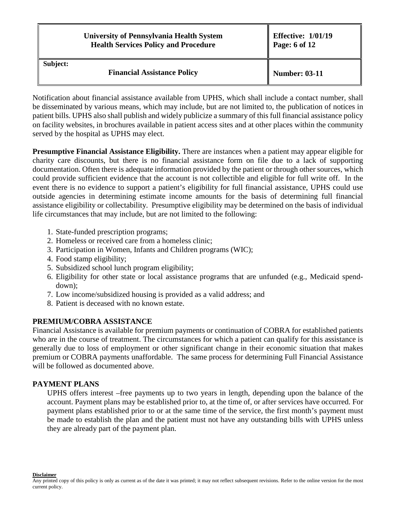|          | <b>University of Pennsylvania Health System</b><br><b>Health Services Policy and Procedure</b> | <b>Effective: 1/01/19</b><br>Page: 6 of 12 |
|----------|------------------------------------------------------------------------------------------------|--------------------------------------------|
| Subject: | <b>Financial Assistance Policy</b>                                                             | <b>Number: 03-11</b>                       |

Notification about financial assistance available from UPHS, which shall include a contact number, shall be disseminated by various means, which may include, but are not limited to, the publication of notices in patient bills. UPHS also shall publish and widely publicize a summary of this full financial assistance policy on facility websites, in brochures available in patient access sites and at other places within the community served by the hospital as UPHS may elect.

**Presumptive Financial Assistance Eligibility.** There are instances when a patient may appear eligible for charity care discounts, but there is no financial assistance form on file due to a lack of supporting documentation. Often there is adequate information provided by the patient or through other sources, which could provide sufficient evidence that the account is not collectible and eligible for full write off. In the event there is no evidence to support a patient's eligibility for full financial assistance, UPHS could use outside agencies in determining estimate income amounts for the basis of determining full financial assistance eligibility or collectability. Presumptive eligibility may be determined on the basis of individual life circumstances that may include, but are not limited to the following:

- 1. State-funded prescription programs;
- 2. Homeless or received care from a homeless clinic;
- 3. Participation in Women, Infants and Children programs (WIC);
- 4. Food stamp eligibility;
- 5. Subsidized school lunch program eligibility;
- 6. Eligibility for other state or local assistance programs that are unfunded (e.g., Medicaid spenddown);
- 7. Low income/subsidized housing is provided as a valid address; and
- 8. Patient is deceased with no known estate.

### **PREMIUM/COBRA ASSISTANCE**

Financial Assistance is available for premium payments or continuation of COBRA for established patients who are in the course of treatment. The circumstances for which a patient can qualify for this assistance is generally due to loss of employment or other significant change in their economic situation that makes premium or COBRA payments unaffordable. The same process for determining Full Financial Assistance will be followed as documented above.

### **PAYMENT PLANS**

UPHS offers interest –free payments up to two years in length, depending upon the balance of the account. Payment plans may be established prior to, at the time of, or after services have occurred. For payment plans established prior to or at the same time of the service, the first month's payment must be made to establish the plan and the patient must not have any outstanding bills with UPHS unless they are already part of the payment plan.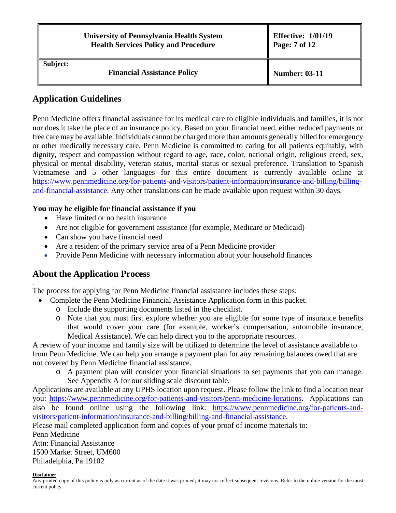|          | <b>University of Pennsylvania Health System</b><br><b>Health Services Policy and Procedure</b> | <b>Effective: 1/01/19</b><br>$\sqrt{2}$ Page: 7 of 12 |
|----------|------------------------------------------------------------------------------------------------|-------------------------------------------------------|
| Subject: | <b>Financial Assistance Policy</b>                                                             | <b>Number: 03-11</b>                                  |

## **Application Guidelines**

Penn Medicine offers financial assistance for its medical care to eligible individuals and families, it is not nor does it take the place of an insurance policy. Based on your financial need, either reduced payments or free care may be available. Individuals cannot be charged more than amounts generally billed for emergency or other medically necessary care. Penn Medicine is committed to caring for all patients equitably, with dignity, respect and compassion without regard to age, race, color, national origin, religious creed, sex, physical or mental disability, veteran status, marital status or sexual preference. Translation to Spanish Vietnamese and 5 other languages for this entire document is currently available online at [https://www.pennmedicine.org/for-patients-and-visitors/patient-information/insurance-and-billing/billing](https://www.pennmedicine.org/for-patients-and-visitors/patient-information/insurance-and-billing/billing-and-financial-assistance)[and-financial-assistance.](https://www.pennmedicine.org/for-patients-and-visitors/patient-information/insurance-and-billing/billing-and-financial-assistance) Any other translations can be made available upon request within 30 days.

### **You may be eligible for financial assistance if you**

- Have limited or no health insurance
- Are not eligible for government assistance (for example, Medicare or Medicaid)
- Can show you have financial need
- Are a resident of the primary service area of a Penn Medicine provider
- Provide Penn Medicine with necessary information about your household finances

## **About the Application Process**

The process for applying for Penn Medicine financial assistance includes these steps:

- Complete the Penn Medicine Financial Assistance Application form in this packet.
	- o Include the supporting documents listed in the checklist.
	- o Note that you must first explore whether you are eligible for some type of insurance benefits that would cover your care (for example, worker's compensation, automobile insurance, Medical Assistance). We can help direct you to the appropriate resources.

A review of your income and family size will be utilized to determine the level of assistance available to from Penn Medicine. We can help you arrange a payment plan for any remaining balances owed that are not covered by Penn Medicine financial assistance.

o A payment plan will consider your financial situations to set payments that you can manage. See Appendix A for our sliding scale discount table.

Applications are available at any UPHS location upon request. Please follow the link to find a location near you: [https://www.pennmedicine.org/for-patients-and-visitors/penn-medicine-locations.](https://www.pennmedicine.org/for-patients-and-visitors/penn-medicine-locations) Applications can also be found online using the following link: [https://www.pennmedicine.org/for-patients-and](https://www.pennmedicine.org/for-patients-and-visitors/patient-information/insurance-and-billing/billing-and-financial-assistance)[visitors/patient-information/insurance-and-billing/billing-and-financial-assistance.](https://www.pennmedicine.org/for-patients-and-visitors/patient-information/insurance-and-billing/billing-and-financial-assistance)

Please mail completed application form and copies of your proof of income materials to:

Penn Medicine Attn: Financial Assistance 1500 Market Street, UM600 Philadelphia, Pa 19102

#### **Disclaimer**

.

Any printed copy of this policy is only as current as of the date it was printed; it may not reflect subsequent revisions. Refer to the online version for the most current policy.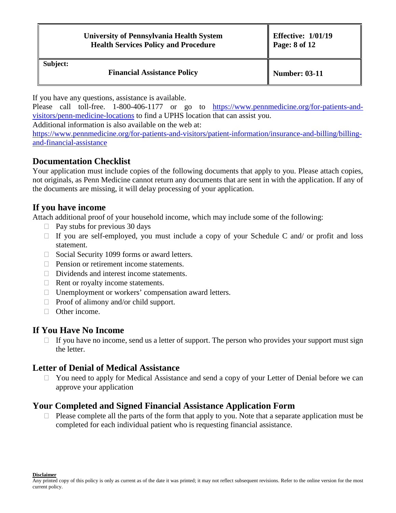| <b>University of Pennsylvania Health System</b> |
|-------------------------------------------------|
| <b>Health Services Policy and Procedure</b>     |

**Subject:** 

**Financial Assistance Policy**  $\parallel$  **Number:** 03-11

If you have any questions, assistance is available.

Please call toll-free. 1-800-406-1177 or go to [https://www.pennmedicine.org/for-patients-and](https://www.pennmedicine.org/for-patients-and-visitors/penn-medicine-locations)[visitors/penn-medicine-locations](https://www.pennmedicine.org/for-patients-and-visitors/penn-medicine-locations) to find a UPHS location that can assist you.

Additional information is also available on the web at:

[https://www.pennmedicine.org/for-patients-and-visitors/patient-information/insurance-and-billing/billing](https://www.pennmedicine.org/for-patients-and-visitors/patient-information/insurance-and-billing/billing-and-financial-assistance)[and-financial-assistance](https://www.pennmedicine.org/for-patients-and-visitors/patient-information/insurance-and-billing/billing-and-financial-assistance)

## **Documentation Checklist**

Your application must include copies of the following documents that apply to you. Please attach copies, not originals, as Penn Medicine cannot return any documents that are sent in with the application. If any of the documents are missing, it will delay processing of your application.

## **If you have income**

Attach additional proof of your household income, which may include some of the following:

- $\Box$  Pay stubs for previous 30 days
- $\Box$  If you are self-employed, you must include a copy of your Schedule C and/ or profit and loss statement.
- $\Box$  Social Security 1099 forms or award letters.
- **Pension or retirement income statements.**
- $\Box$  Dividends and interest income statements.
- $\Box$  Rent or royalty income statements.
- $\Box$  Unemployment or workers' compensation award letters.
- $\Box$  Proof of alimony and/or child support.
- □ Other income.

## **If You Have No Income**

 $\Box$  If you have no income, send us a letter of support. The person who provides your support must sign the letter.

## **Letter of Denial of Medical Assistance**

 You need to apply for Medical Assistance and send a copy of your Letter of Denial before we can approve your application

## **Your Completed and Signed Financial Assistance Application Form**

 $\Box$  Please complete all the parts of the form that apply to you. Note that a separate application must be completed for each individual patient who is requesting financial assistance.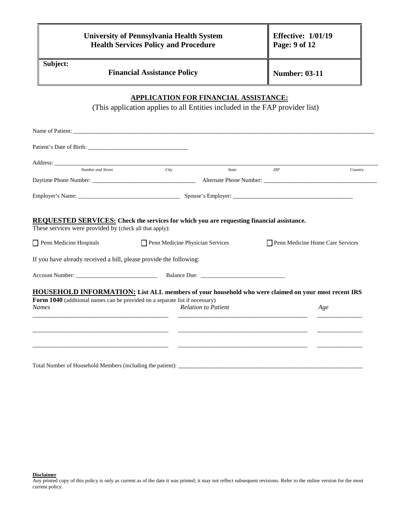|          | <b>University of Pennsylvania Health System</b><br><b>Health Services Policy and Procedure</b> | <b>Effective: 1/01/19</b><br>Page: 9 of 12 |
|----------|------------------------------------------------------------------------------------------------|--------------------------------------------|
| Subject: | <b>Financial Assistance Policy</b>                                                             | <b>Number: 03-11</b>                       |

### **APPLICATION FOR FINANCIAL ASSISTANCE:**

(This application applies to all Entities included in the FAP provider list)

| Number and Street                                                                                                                                           | City                                    | State                      | ZIP                              | Country |
|-------------------------------------------------------------------------------------------------------------------------------------------------------------|-----------------------------------------|----------------------------|----------------------------------|---------|
|                                                                                                                                                             |                                         |                            |                                  |         |
|                                                                                                                                                             |                                         |                            |                                  |         |
| <b>REQUESTED SERVICES:</b> Check the services for which you are requesting financial assistance.<br>These services were provided by (check all that apply): |                                         |                            |                                  |         |
| Penn Medicine Hospitals                                                                                                                                     | $\Box$ Penn Medicine Physician Services |                            | Penn Medicine Home Care Services |         |
| If you have already received a bill, please provide the following:                                                                                          |                                         |                            |                                  |         |
|                                                                                                                                                             |                                         |                            |                                  |         |
| <b>HOUSEHOLD INFORMATION:</b> List ALL members of your household who were claimed on your most recent IRS                                                   |                                         |                            |                                  |         |
| Form 1040 (additional names can be provided on a separate list if necessary)                                                                                |                                         |                            |                                  |         |
| <b>Names</b>                                                                                                                                                |                                         | <b>Relation to Patient</b> |                                  | Age     |
|                                                                                                                                                             |                                         |                            |                                  |         |
|                                                                                                                                                             |                                         |                            |                                  |         |
|                                                                                                                                                             |                                         |                            |                                  |         |
|                                                                                                                                                             |                                         |                            |                                  |         |
|                                                                                                                                                             |                                         |                            |                                  |         |
|                                                                                                                                                             |                                         |                            |                                  |         |

Total Number of Household Members (including the patient): \_\_\_\_\_\_\_\_\_\_\_\_\_\_\_\_\_\_\_\_\_\_\_\_\_\_\_\_\_\_\_\_\_\_\_\_\_\_\_\_\_\_\_\_\_\_\_\_\_\_\_\_\_\_\_\_\_

**Disclaimer**

Any printed copy of this policy is only as current as of the date it was printed; it may not reflect subsequent revisions. Refer to the online version for the most current policy.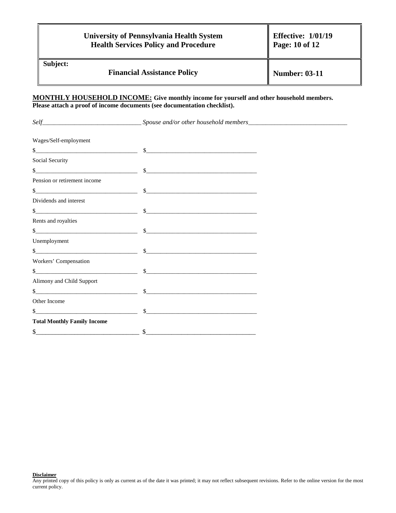|          | <b>University of Pennsylvania Health System</b><br><b>Health Services Policy and Procedure</b> | <b>Effective: 1/01/19</b><br>Page: 10 of 12 |
|----------|------------------------------------------------------------------------------------------------|---------------------------------------------|
| Subject: | <b>Financial Assistance Policy</b>                                                             | <b>Number: 03-11</b>                        |

#### **MONTHLY HOUSEHOLD INCOME: Give monthly income for yourself and other household members. Please attach a proof of income documents (see documentation checklist).**

| Wages/Self-employment              |                                                                                                                                                                                                                                                                                                                                                                                                         |  |
|------------------------------------|---------------------------------------------------------------------------------------------------------------------------------------------------------------------------------------------------------------------------------------------------------------------------------------------------------------------------------------------------------------------------------------------------------|--|
|                                    | $s$ $s$                                                                                                                                                                                                                                                                                                                                                                                                 |  |
| Social Security                    |                                                                                                                                                                                                                                                                                                                                                                                                         |  |
|                                    | $\frac{\text{S}}{\text{S}}$                                                                                                                                                                                                                                                                                                                                                                             |  |
| Pension or retirement income       |                                                                                                                                                                                                                                                                                                                                                                                                         |  |
|                                    | \$                                                                                                                                                                                                                                                                                                                                                                                                      |  |
| Dividends and interest             |                                                                                                                                                                                                                                                                                                                                                                                                         |  |
|                                    | $\frac{\frac{1}{2} + \frac{1}{2} + \frac{1}{2} + \frac{1}{2} + \frac{1}{2} + \frac{1}{2} + \frac{1}{2} + \frac{1}{2} + \frac{1}{2} + \frac{1}{2} + \frac{1}{2} + \frac{1}{2} + \frac{1}{2} + \frac{1}{2} + \frac{1}{2} + \frac{1}{2} + \frac{1}{2} + \frac{1}{2} + \frac{1}{2} + \frac{1}{2} + \frac{1}{2} + \frac{1}{2} + \frac{1}{2} + \frac{1}{2} + \frac{1}{2} + \frac{1}{2} + \frac{1}{2} + \frac$ |  |
| Rents and royalties                |                                                                                                                                                                                                                                                                                                                                                                                                         |  |
| $\frac{1}{2}$                      | $\frac{1}{2}$                                                                                                                                                                                                                                                                                                                                                                                           |  |
| Unemployment                       |                                                                                                                                                                                                                                                                                                                                                                                                         |  |
|                                    | $\frac{\text{S}}{\text{S}}$                                                                                                                                                                                                                                                                                                                                                                             |  |
| Workers' Compensation              |                                                                                                                                                                                                                                                                                                                                                                                                         |  |
|                                    |                                                                                                                                                                                                                                                                                                                                                                                                         |  |
| Alimony and Child Support          |                                                                                                                                                                                                                                                                                                                                                                                                         |  |
|                                    | $\frac{\text{S}}{\text{S}}$                                                                                                                                                                                                                                                                                                                                                                             |  |
| Other Income                       |                                                                                                                                                                                                                                                                                                                                                                                                         |  |
|                                    | $\frac{\text{S}}{\text{S}}$                                                                                                                                                                                                                                                                                                                                                                             |  |
| <b>Total Monthly Family Income</b> |                                                                                                                                                                                                                                                                                                                                                                                                         |  |
| $\frac{\text{S}}{\text{S}}$        |                                                                                                                                                                                                                                                                                                                                                                                                         |  |

**Disclaimer**

Any printed copy of this policy is only as current as of the date it was printed; it may not reflect subsequent revisions. Refer to the online version for the most current policy.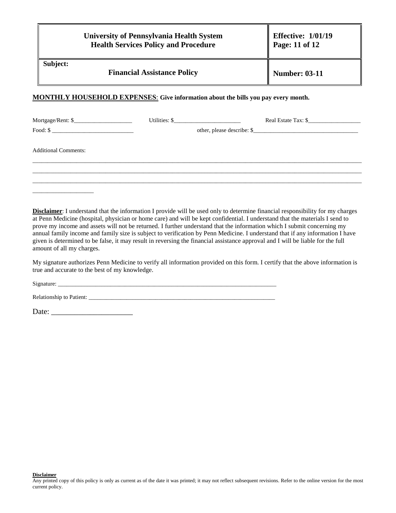|          | <b>University of Pennsylvania Health System</b><br><b>Health Services Policy and Procedure</b> | Effective: $1/01/19$<br>Page: 11 of 12 |
|----------|------------------------------------------------------------------------------------------------|----------------------------------------|
| Subject: | <b>Financial Assistance Policy</b>                                                             | <b>Number: 03-11</b>                   |

#### **MONTHLY HOUSEHOLD EXPENSES**: **Give information about the bills you pay every month.**

|                                                                                                                                                                                                                                                                                                                                                                                                                                                                                                                                                                                                                                      | Real Estate Tax: \$ |
|--------------------------------------------------------------------------------------------------------------------------------------------------------------------------------------------------------------------------------------------------------------------------------------------------------------------------------------------------------------------------------------------------------------------------------------------------------------------------------------------------------------------------------------------------------------------------------------------------------------------------------------|---------------------|
| $\text{Food: } $ \underline{\hspace{2cm}} \underline{\hspace{2cm}} \underline{\hspace{2cm}} \underline{\hspace{2cm}} \underline{\hspace{2cm}} \underline{\hspace{2cm}} \underline{\hspace{2cm}} \underline{\hspace{2cm}} \underline{\hspace{2cm}} \underline{\hspace{2cm}} \underline{\hspace{2cm}} \underline{\hspace{2cm}} \underline{\hspace{2cm}} \underline{\hspace{2cm}} \underline{\hspace{2cm}} \underline{\hspace{2cm}} \underline{\hspace{2cm}} \underline{\hspace{2cm}} \underline{\hspace{2cm}} \underline{\hspace{2cm}} \underline{\hspace{2cm}} \underline{\hspace{2cm}} \underline{\hspace{2cm}} \underline{\hspace{$ |                     |
| <b>Additional Comments:</b>                                                                                                                                                                                                                                                                                                                                                                                                                                                                                                                                                                                                          |                     |
|                                                                                                                                                                                                                                                                                                                                                                                                                                                                                                                                                                                                                                      |                     |
|                                                                                                                                                                                                                                                                                                                                                                                                                                                                                                                                                                                                                                      |                     |
|                                                                                                                                                                                                                                                                                                                                                                                                                                                                                                                                                                                                                                      |                     |

**Disclaimer**: I understand that the information I provide will be used only to determine financial responsibility for my charges at Penn Medicine (hospital, physician or home care) and will be kept confidential. I understand that the materials I send to prove my income and assets will not be returned. I further understand that the information which I submit concerning my annual family income and family size is subject to verification by Penn Medicine. I understand that if any information I have given is determined to be false, it may result in reversing the financial assistance approval and I will be liable for the full amount of all my charges.

My signature authorizes Penn Medicine to verify all information provided on this form. I certify that the above information is true and accurate to the best of my knowledge.

Signature:

Relationship to Patient: \_\_\_\_\_\_\_\_\_\_\_\_\_\_\_\_\_\_\_\_\_\_\_\_\_\_\_\_\_\_\_\_\_\_\_\_\_\_\_\_\_\_\_\_\_\_\_\_\_\_\_\_\_\_\_\_\_\_\_\_\_\_\_\_

Date: \_\_\_\_\_\_\_\_\_\_\_\_\_\_\_\_\_\_\_\_\_